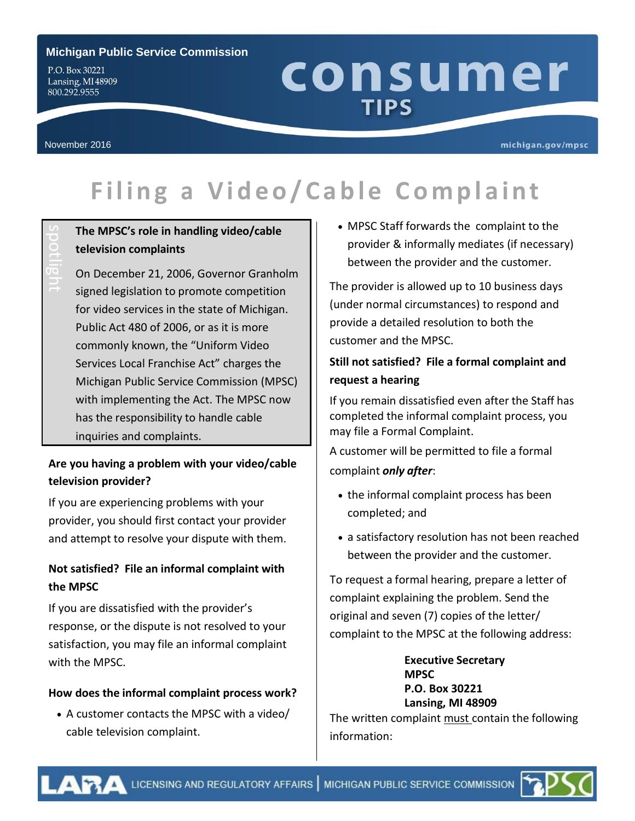#### **Michigan Public Service Commission**

P.O. Box 30221 Lansing, MI48909 800.292.9555

# consumer **TIPS**

spotlight

#### michigan.gov/mpsc

# **F i l ing a Video /C abl e C om pl a int**

# **The MPSC's role in handling video/cable television complaints**

On December 21, 2006, Governor Granholm signed legislation to promote competition for video services in the state of Michigan. Public Act 480 of 2006, or as it is more commonly known, the "Uniform Video Services Local Franchise Act" charges the Michigan Public Service Commission (MPSC) with implementing the Act. The MPSC now has the responsibility to handle cable inquiries and complaints.

# **Are you having a problem with your video/cable television provider?**

If you are experiencing problems with your provider, you should first contact your provider and attempt to resolve your dispute with them.

# **Not satisfied? File an informal complaint with the MPSC**

If you are dissatisfied with the provider's response, or the dispute is not resolved to your satisfaction, you may file an informal complaint with the MPSC.

#### **How does the informal complaint process work?**

 A customer contacts the MPSC with a video/ cable television complaint.

 MPSC Staff forwards the complaint to the provider & informally mediates (if necessary) between the provider and the customer.

The provider is allowed up to 10 business days (under normal circumstances) to respond and provide a detailed resolution to both the customer and the MPSC.

# **Still not satisfied? File a formal complaint and request a hearing**

If you remain dissatisfied even after the Staff has completed the informal complaint process, you may file a Formal Complaint.

A customer will be permitted to file a formal complaint *only after*:

- the informal complaint process has been completed; and
- a satisfactory resolution has not been reached between the provider and the customer.

To request a formal hearing, prepare a letter of complaint explaining the problem. Send the original and seven (7) copies of the letter/ complaint to the MPSC at the following address:

> **Executive Secretary MPSC P.O. Box 30221 Lansing, MI 48909**

The written complaint must contain the following information: